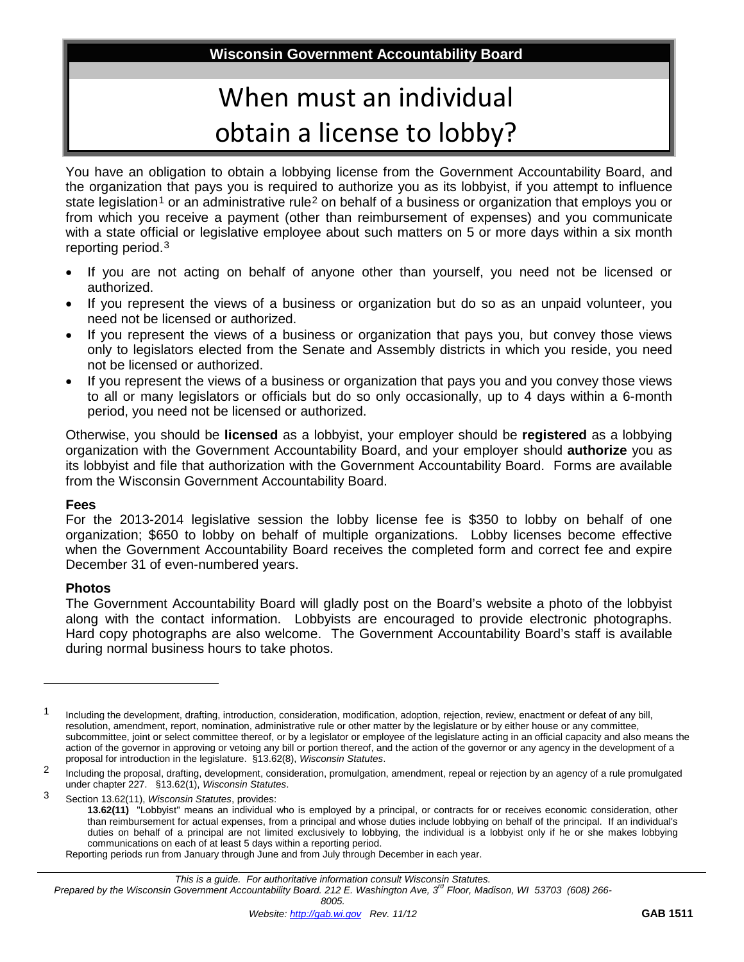**Wisconsin Government Accountability Board**

## When must an individual obtain a license to lobby?

You have an obligation to obtain a lobbying license from the Government Accountability Board, and the organization that pays you is required to authorize you as its lobbyist, if you attempt to influence state legislation<sup>[1](#page-0-0)</sup> or an administrative rule<sup>[2](#page-0-1)</sup> on behalf of a business or organization that employs you or from which you receive a payment (other than reimbursement of expenses) and you communicate with a state official or legislative employee about such matters on 5 or more days within a six month reporting period.[3](#page-0-2)

- If you are not acting on behalf of anyone other than yourself, you need not be licensed or authorized.
- If you represent the views of a business or organization but do so as an unpaid volunteer, you need not be licensed or authorized.
- If you represent the views of a business or organization that pays you, but convey those views only to legislators elected from the Senate and Assembly districts in which you reside, you need not be licensed or authorized.
- If you represent the views of a business or organization that pays you and you convey those views to all or many legislators or officials but do so only occasionally, up to 4 days within a 6-month period, you need not be licensed or authorized.

Otherwise, you should be **licensed** as a lobbyist, your employer should be **registered** as a lobbying organization with the Government Accountability Board, and your employer should **authorize** you as its lobbyist and file that authorization with the Government Accountability Board. Forms are available from the Wisconsin Government Accountability Board.

## **Fees**

For the 2013-2014 legislative session the lobby license fee is \$350 to lobby on behalf of one organization; \$650 to lobby on behalf of multiple organizations. Lobby licenses become effective when the Government Accountability Board receives the completed form and correct fee and expire December 31 of even-numbered years.

## **Photos**

 $\overline{a}$ 

The Government Accountability Board will gladly post on the Board's website a photo of the lobbyist along with the contact information. Lobbyists are encouraged to provide electronic photographs. Hard copy photographs are also welcome. The Government Accountability Board's staff is available during normal business hours to take photos.

<span id="page-0-0"></span><sup>&</sup>lt;sup>1</sup> Including the development, drafting, introduction, consideration, modification, adoption, rejection, review, enactment or defeat of any bill, resolution, amendment, report, nomination, administrative rule or other matter by the legislature or by either house or any committee, subcommittee, joint or select committee thereof, or by a legislator or employee of the legislature acting in an official capacity and also means the action of the governor in approving or vetoing any bill or portion thereof, and the action of the governor or any agency in the development of a proposal for introduction in the legislature. §13.62(8), *Wisconsin Statutes*.

<span id="page-0-1"></span><sup>&</sup>lt;sup>2</sup> Including the proposal, drafting, development, consideration, promulgation, amendment, repeal or rejection by an agency of a rule promulgated under chapter 227. §13.62(1), *Wisconsin Statutes*.

<span id="page-0-2"></span><sup>3</sup> Section 13.62(11), *Wisconsin Statutes*, provides: **13.62(11)** "Lobbyist" means an individual who is employed by a principal, or contracts for or receives economic consideration, other than reimbursement for actual expenses, from a principal and whose duties include lobbying on behalf of the principal. If an individual's duties on behalf of a principal are not limited exclusively to lobbying, the individual is a lobbyist only if he or she makes lobbying communications on each of at least 5 days within a reporting period.

Reporting periods run from January through June and from July through December in each year.